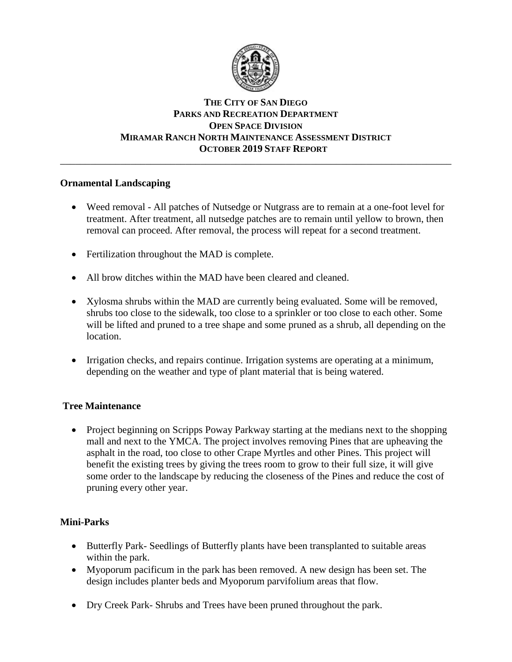

# **THE CITY OF SAN DIEGO PARKS AND RECREATION DEPARTMENT OPEN SPACE DIVISION MIRAMAR RANCH NORTH MAINTENANCE ASSESSMENT DISTRICT OCTOBER 2019 STAFF REPORT**

\_\_\_\_\_\_\_\_\_\_\_\_\_\_\_\_\_\_\_\_\_\_\_\_\_\_\_\_\_\_\_\_\_\_\_\_\_\_\_\_\_\_\_\_\_\_\_\_\_\_\_\_\_\_\_\_\_\_\_\_\_\_\_\_\_\_\_\_\_\_\_\_\_\_\_\_\_\_

# **Ornamental Landscaping**

- Weed removal All patches of Nutsedge or Nutgrass are to remain at a one-foot level for treatment. After treatment, all nutsedge patches are to remain until yellow to brown, then removal can proceed. After removal, the process will repeat for a second treatment.
- Fertilization throughout the MAD is complete.
- All brow ditches within the MAD have been cleared and cleaned.
- Xylosma shrubs within the MAD are currently being evaluated. Some will be removed, shrubs too close to the sidewalk, too close to a sprinkler or too close to each other. Some will be lifted and pruned to a tree shape and some pruned as a shrub, all depending on the location.
- Irrigation checks, and repairs continue. Irrigation systems are operating at a minimum, depending on the weather and type of plant material that is being watered.

# **Tree Maintenance**

• Project beginning on Scripps Poway Parkway starting at the medians next to the shopping mall and next to the YMCA. The project involves removing Pines that are upheaving the asphalt in the road, too close to other Crape Myrtles and other Pines. This project will benefit the existing trees by giving the trees room to grow to their full size, it will give some order to the landscape by reducing the closeness of the Pines and reduce the cost of pruning every other year.

# **Mini-Parks**

- Butterfly Park- Seedlings of Butterfly plants have been transplanted to suitable areas within the park.
- Myoporum pacificum in the park has been removed. A new design has been set. The design includes planter beds and Myoporum parvifolium areas that flow.
- Dry Creek Park- Shrubs and Trees have been pruned throughout the park.